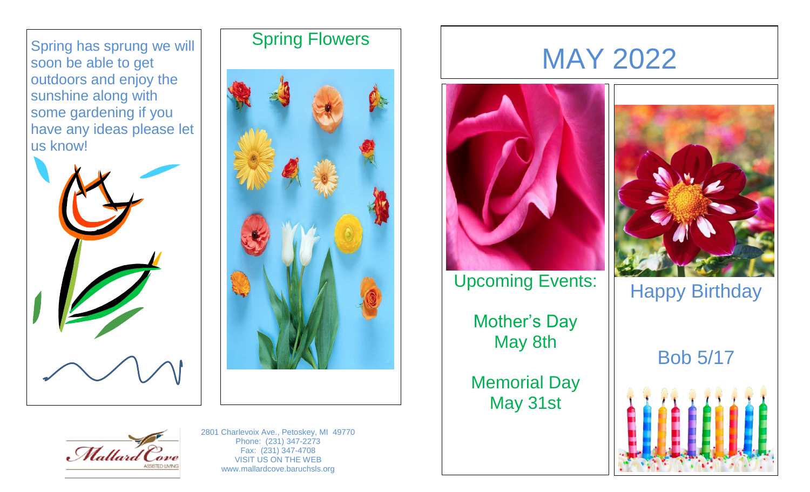Spring has sprung we will soon be able to get outdoors and enjoy the sunshine along with some gardening if you have any ideas please let us know!







## MAY 2022



Upcoming Events:

Mother's Day May 8th

Memorial Day May 31st



Happy Birthday

Bob 5/17





2801 Charlevoix Ave., Petoskey, MI 49770 Phone: (231) 347-2273 Fax: (231) 347-4708 VISIT US ON THE WEB www.mallardcove.baruchsls.org